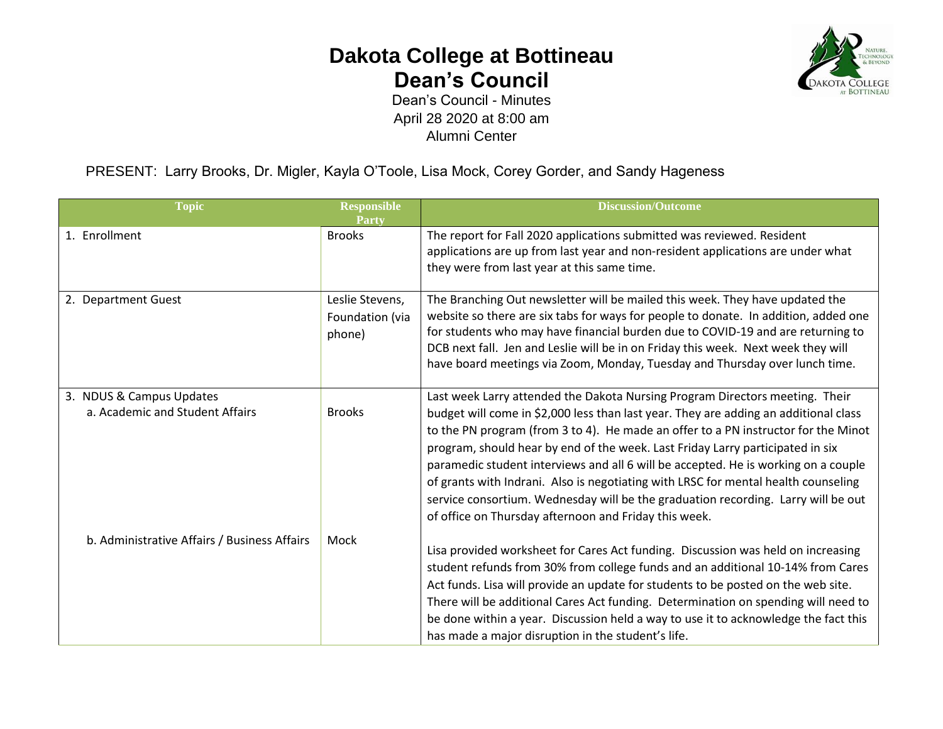

Dean's Council - Minutes April 28 2020 at 8:00 am Alumni Center

#### PRESENT: Larry Brooks, Dr. Migler, Kayla O'Toole, Lisa Mock, Corey Gorder, and Sandy Hageness

| <b>Topic</b>                                                | <b>Responsible</b><br>Party                  | <b>Discussion/Outcome</b>                                                                                                                                                                                                                                                                                                                                                                                                                                                                                                                                                                                                                                              |
|-------------------------------------------------------------|----------------------------------------------|------------------------------------------------------------------------------------------------------------------------------------------------------------------------------------------------------------------------------------------------------------------------------------------------------------------------------------------------------------------------------------------------------------------------------------------------------------------------------------------------------------------------------------------------------------------------------------------------------------------------------------------------------------------------|
| Enrollment<br>$\mathbf{1}$ .                                | <b>Brooks</b>                                | The report for Fall 2020 applications submitted was reviewed. Resident<br>applications are up from last year and non-resident applications are under what<br>they were from last year at this same time.                                                                                                                                                                                                                                                                                                                                                                                                                                                               |
| 2. Department Guest                                         | Leslie Stevens,<br>Foundation (via<br>phone) | The Branching Out newsletter will be mailed this week. They have updated the<br>website so there are six tabs for ways for people to donate. In addition, added one<br>for students who may have financial burden due to COVID-19 and are returning to<br>DCB next fall. Jen and Leslie will be in on Friday this week. Next week they will<br>have board meetings via Zoom, Monday, Tuesday and Thursday over lunch time.                                                                                                                                                                                                                                             |
| 3. NDUS & Campus Updates<br>a. Academic and Student Affairs | <b>Brooks</b>                                | Last week Larry attended the Dakota Nursing Program Directors meeting. Their<br>budget will come in \$2,000 less than last year. They are adding an additional class<br>to the PN program (from 3 to 4). He made an offer to a PN instructor for the Minot<br>program, should hear by end of the week. Last Friday Larry participated in six<br>paramedic student interviews and all 6 will be accepted. He is working on a couple<br>of grants with Indrani. Also is negotiating with LRSC for mental health counseling<br>service consortium. Wednesday will be the graduation recording. Larry will be out<br>of office on Thursday afternoon and Friday this week. |
| b. Administrative Affairs / Business Affairs                | Mock                                         | Lisa provided worksheet for Cares Act funding. Discussion was held on increasing<br>student refunds from 30% from college funds and an additional 10-14% from Cares<br>Act funds. Lisa will provide an update for students to be posted on the web site.<br>There will be additional Cares Act funding. Determination on spending will need to<br>be done within a year. Discussion held a way to use it to acknowledge the fact this<br>has made a major disruption in the student's life.                                                                                                                                                                            |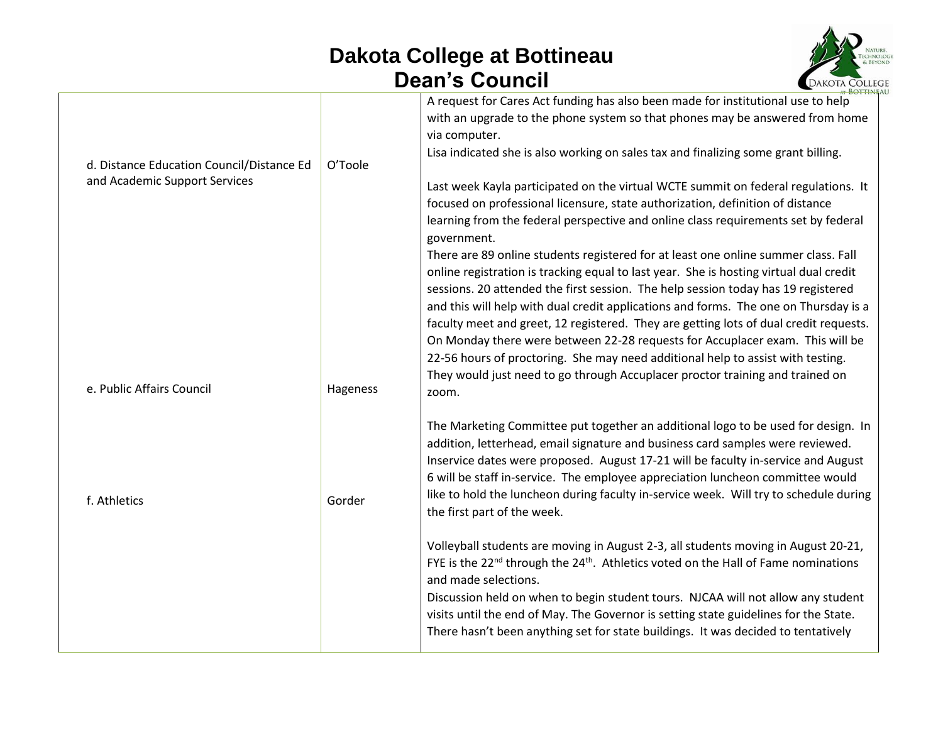

| d. Distance Education Council/Distance Ed<br>and Academic Support Services | O'Toole  | A request for Cares Act funding has also been made for institutional use to help<br>with an upgrade to the phone system so that phones may be answered from home<br>via computer.                                                                                                                                                                                                                                                                                                                                                                                                                                                                                                                                               |
|----------------------------------------------------------------------------|----------|---------------------------------------------------------------------------------------------------------------------------------------------------------------------------------------------------------------------------------------------------------------------------------------------------------------------------------------------------------------------------------------------------------------------------------------------------------------------------------------------------------------------------------------------------------------------------------------------------------------------------------------------------------------------------------------------------------------------------------|
|                                                                            |          | Lisa indicated she is also working on sales tax and finalizing some grant billing.                                                                                                                                                                                                                                                                                                                                                                                                                                                                                                                                                                                                                                              |
|                                                                            |          | Last week Kayla participated on the virtual WCTE summit on federal regulations. It<br>focused on professional licensure, state authorization, definition of distance<br>learning from the federal perspective and online class requirements set by federal                                                                                                                                                                                                                                                                                                                                                                                                                                                                      |
| e. Public Affairs Council                                                  | Hageness | government.<br>There are 89 online students registered for at least one online summer class. Fall<br>online registration is tracking equal to last year. She is hosting virtual dual credit<br>sessions. 20 attended the first session. The help session today has 19 registered<br>and this will help with dual credit applications and forms. The one on Thursday is a<br>faculty meet and greet, 12 registered. They are getting lots of dual credit requests.<br>On Monday there were between 22-28 requests for Accuplacer exam. This will be<br>22-56 hours of proctoring. She may need additional help to assist with testing.<br>They would just need to go through Accuplacer proctor training and trained on<br>zoom. |
| f. Athletics                                                               | Gorder   | The Marketing Committee put together an additional logo to be used for design. In<br>addition, letterhead, email signature and business card samples were reviewed.<br>Inservice dates were proposed. August 17-21 will be faculty in-service and August<br>6 will be staff in-service. The employee appreciation luncheon committee would<br>like to hold the luncheon during faculty in-service week. Will try to schedule during<br>the first part of the week.                                                                                                                                                                                                                                                              |
|                                                                            |          | Volleyball students are moving in August 2-3, all students moving in August 20-21,<br>FYE is the 22 <sup>nd</sup> through the 24 <sup>th</sup> . Athletics voted on the Hall of Fame nominations<br>and made selections.<br>Discussion held on when to begin student tours. NJCAA will not allow any student<br>visits until the end of May. The Governor is setting state guidelines for the State.<br>There hasn't been anything set for state buildings. It was decided to tentatively                                                                                                                                                                                                                                       |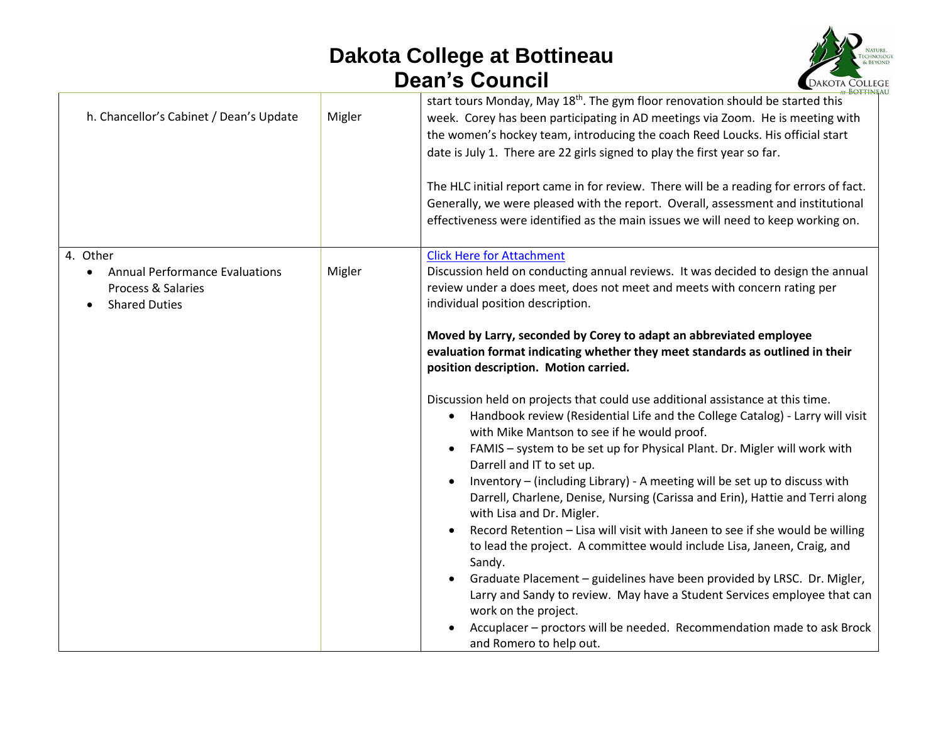

| h. Chancellor's Cabinet / Dean's Update                                                                    | Migler | start tours Monday, May 18 <sup>th</sup> . The gym floor renovation should be started this<br>week. Corey has been participating in AD meetings via Zoom. He is meeting with<br>the women's hockey team, introducing the coach Reed Loucks. His official start<br>date is July 1. There are 22 girls signed to play the first year so far.<br>The HLC initial report came in for review. There will be a reading for errors of fact.<br>Generally, we were pleased with the report. Overall, assessment and institutional<br>effectiveness were identified as the main issues we will need to keep working on.                                                                                                                                                                                                                                                                                                                                                                                                                                                                                                                                                                                                                                                                                                                                                                                                                        |
|------------------------------------------------------------------------------------------------------------|--------|---------------------------------------------------------------------------------------------------------------------------------------------------------------------------------------------------------------------------------------------------------------------------------------------------------------------------------------------------------------------------------------------------------------------------------------------------------------------------------------------------------------------------------------------------------------------------------------------------------------------------------------------------------------------------------------------------------------------------------------------------------------------------------------------------------------------------------------------------------------------------------------------------------------------------------------------------------------------------------------------------------------------------------------------------------------------------------------------------------------------------------------------------------------------------------------------------------------------------------------------------------------------------------------------------------------------------------------------------------------------------------------------------------------------------------------|
| 4. Other<br><b>Annual Performance Evaluations</b><br><b>Process &amp; Salaries</b><br><b>Shared Duties</b> | Migler | <b>Click Here for Attachment</b><br>Discussion held on conducting annual reviews. It was decided to design the annual<br>review under a does meet, does not meet and meets with concern rating per<br>individual position description.<br>Moved by Larry, seconded by Corey to adapt an abbreviated employee<br>evaluation format indicating whether they meet standards as outlined in their<br>position description. Motion carried.<br>Discussion held on projects that could use additional assistance at this time.<br>Handbook review (Residential Life and the College Catalog) - Larry will visit<br>$\bullet$<br>with Mike Mantson to see if he would proof.<br>FAMIS - system to be set up for Physical Plant. Dr. Migler will work with<br>Darrell and IT to set up.<br>Inventory - (including Library) - A meeting will be set up to discuss with<br>Darrell, Charlene, Denise, Nursing (Carissa and Erin), Hattie and Terri along<br>with Lisa and Dr. Migler.<br>Record Retention - Lisa will visit with Janeen to see if she would be willing<br>to lead the project. A committee would include Lisa, Janeen, Craig, and<br>Sandy.<br>Graduate Placement - guidelines have been provided by LRSC. Dr. Migler,<br>Larry and Sandy to review. May have a Student Services employee that can<br>work on the project.<br>Accuplacer - proctors will be needed. Recommendation made to ask Brock<br>and Romero to help out. |